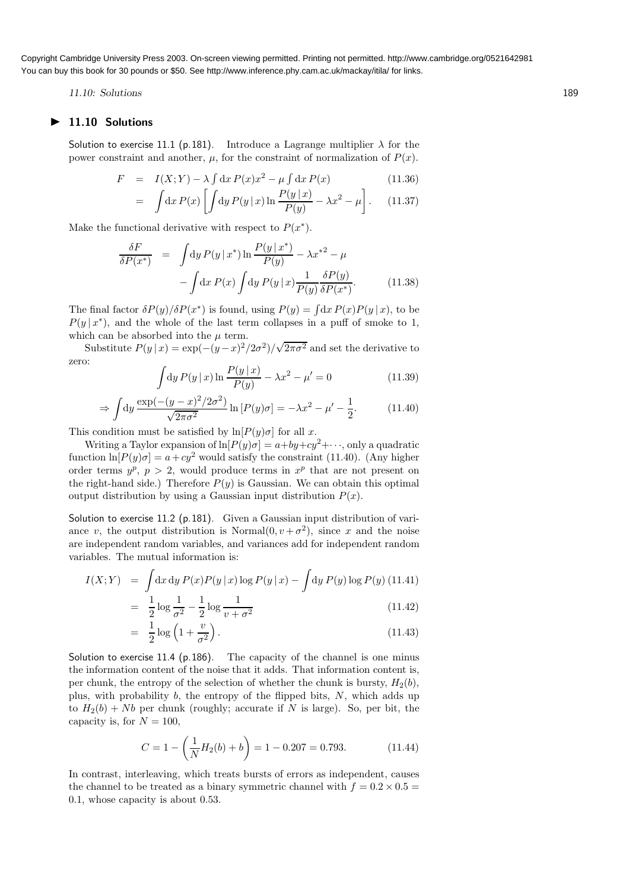Copyright Cambridge University Press 2003. On-screen viewing permitted. Printing not permitted. http://www.cambridge.org/0521642981 You can buy this book for 30 pounds or \$50. See http://www.inference.phy.cam.ac.uk/mackay/itila/ for links.

11.10: Solutions 189

## 11.10 Solutions

Solution to exercise 11.1 (p.181). Introduce a Lagrange multiplier  $\lambda$  for the power constraint and another,  $\mu$ , for the constraint of normalization of  $P(x)$ .

$$
F = I(X;Y) - \lambda \int dx P(x)x^2 - \mu \int dx P(x)
$$
(11.36)  

$$
\int dx P(x) \left[ \int dx P(x|x) \right]_{\mathcal{D}} P(y|x) = \lambda x^2 \quad (11.37)
$$

$$
= \int dx P(x) \left[ \int dy P(y | x) \ln \frac{P(y | x)}{P(y)} - \lambda x^2 - \mu \right]. \quad (11.37)
$$

Make the functional derivative with respect to  $P(x^*)$ .

$$
\frac{\delta F}{\delta P(x^*)} = \int \mathrm{d}y P(y | x^*) \ln \frac{P(y | x^*)}{P(y)} - \lambda x^{*2} - \mu
$$

$$
-\int \mathrm{d}x P(x) \int \mathrm{d}y P(y | x) \frac{1}{P(y)} \frac{\delta P(y)}{\delta P(x^*)}.
$$
(11.38)

The final factor  $\delta P(y)/\delta P(x^*)$  is found, using  $P(y) = \int dx P(x)P(y|x)$ , to be  $P(y | x^*)$ , and the whole of the last term collapses in a puff of smoke to 1, which can be absorbed into the  $\mu$  term.

Substitute  $P(y|x) = \exp(-(y-x)^2/2\sigma^2)/\sqrt{2\pi\sigma^2}$  and set the derivative to zero:

$$
\int dy P(y | x) \ln \frac{P(y | x)}{P(y)} - \lambda x^2 - \mu' = 0
$$
\n(11.39)

$$
\Rightarrow \int dy \frac{\exp(-(y-x)^2/2\sigma^2)}{\sqrt{2\pi\sigma^2}} \ln[P(y)\sigma] = -\lambda x^2 - \mu' - \frac{1}{2}.\tag{11.40}
$$

This condition must be satisfied by  $\ln[P(y)\sigma]$  for all x.

Writing a Taylor expansion of  $\ln[P(y)\sigma] = a + by + cy^2 + \cdots$ , only a quadratic function  $\ln[P(y)\sigma] = a + cy^2$  would satisfy the constraint (11.40). (Any higher order terms  $y^p$ ,  $p > 2$ , would produce terms in  $x^p$  that are not present on the right-hand side.) Therefore  $P(y)$  is Gaussian. We can obtain this optimal output distribution by using a Gaussian input distribution  $P(x)$ .

Solution to exercise 11.2 (p.181). Given a Gaussian input distribution of variance v, the output distribution is Normal $(0, v + \sigma^2)$ , since x and the noise are independent random variables, and variances add for independent random variables. The mutual information is:

$$
I(X;Y) = \int dx dy P(x)P(y|x) \log P(y|x) - \int dy P(y) \log P(y)
$$
 (11.41)

$$
= \frac{1}{2}\log\frac{1}{\sigma^2} - \frac{1}{2}\log\frac{1}{v+\sigma^2}
$$
 (11.42)

$$
= \frac{1}{2}\log\left(1+\frac{v}{\sigma^2}\right). \tag{11.43}
$$

Solution to exercise 11.4 (p.186). The capacity of the channel is one minus the information content of the noise that it adds. That information content is, per chunk, the entropy of the selection of whether the chunk is bursty,  $H_2(b)$ , plus, with probability  $b$ , the entropy of the flipped bits,  $N$ , which adds up to  $H_2(b) + Nb$  per chunk (roughly; accurate if N is large). So, per bit, the capacity is, for  $N = 100$ ,

$$
C = 1 - \left(\frac{1}{N}H_2(b) + b\right) = 1 - 0.207 = 0.793.
$$
 (11.44)

In contrast, interleaving, which treats bursts of errors as independent, causes the channel to be treated as a binary symmetric channel with  $f = 0.2 \times 0.5$ 0.1, whose capacity is about 0.53.